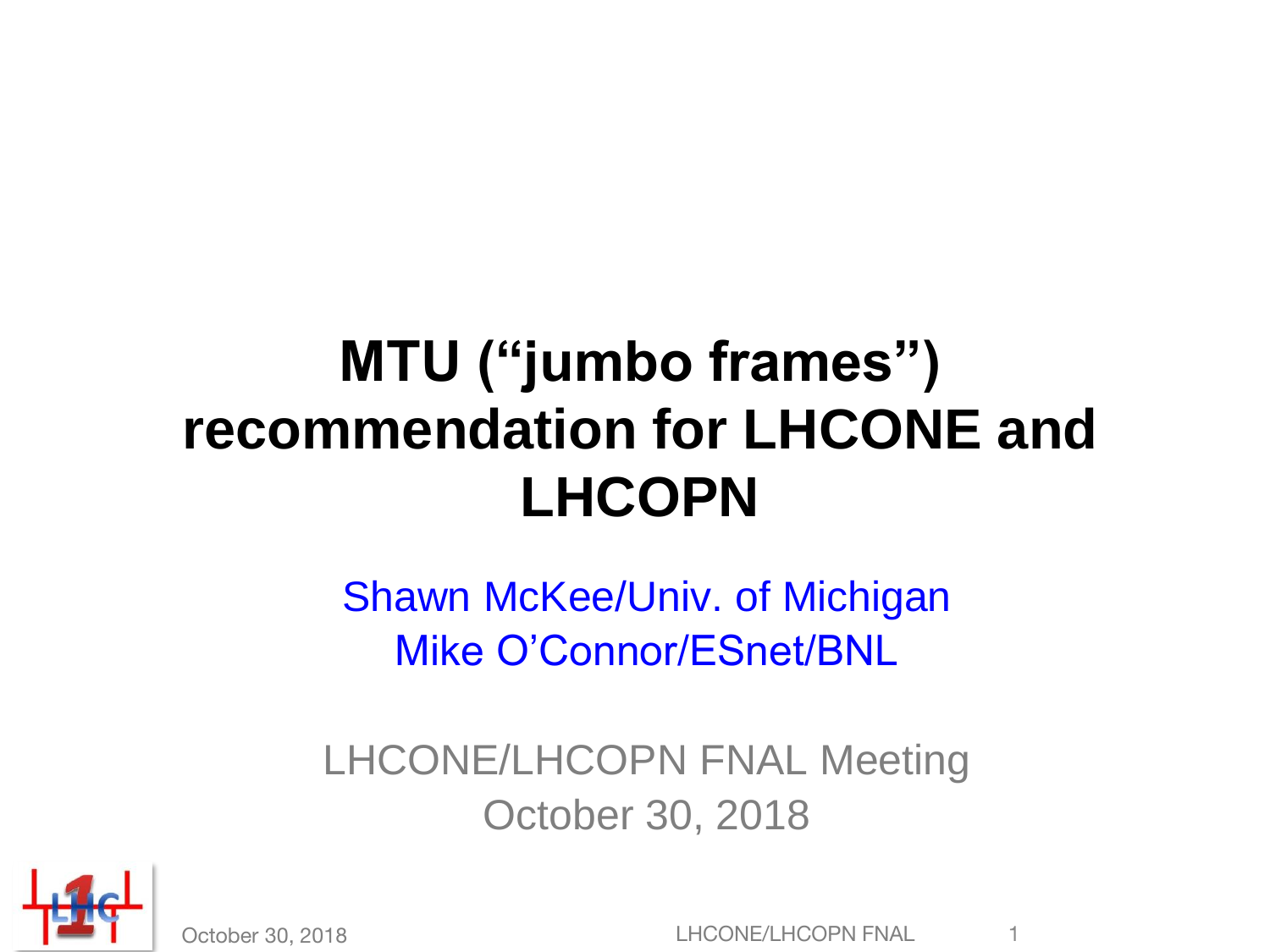## **MTU ("jumbo frames") recommendation for LHCONE and LHCOPN**

Shawn McKee/Univ. of Michigan Mike O'Connor/ESnet/BNL

LHCONE/LHCOPN FNAL Meeting October 30, 2018



October 30, 2018 **LEAD CONET COPPS 1**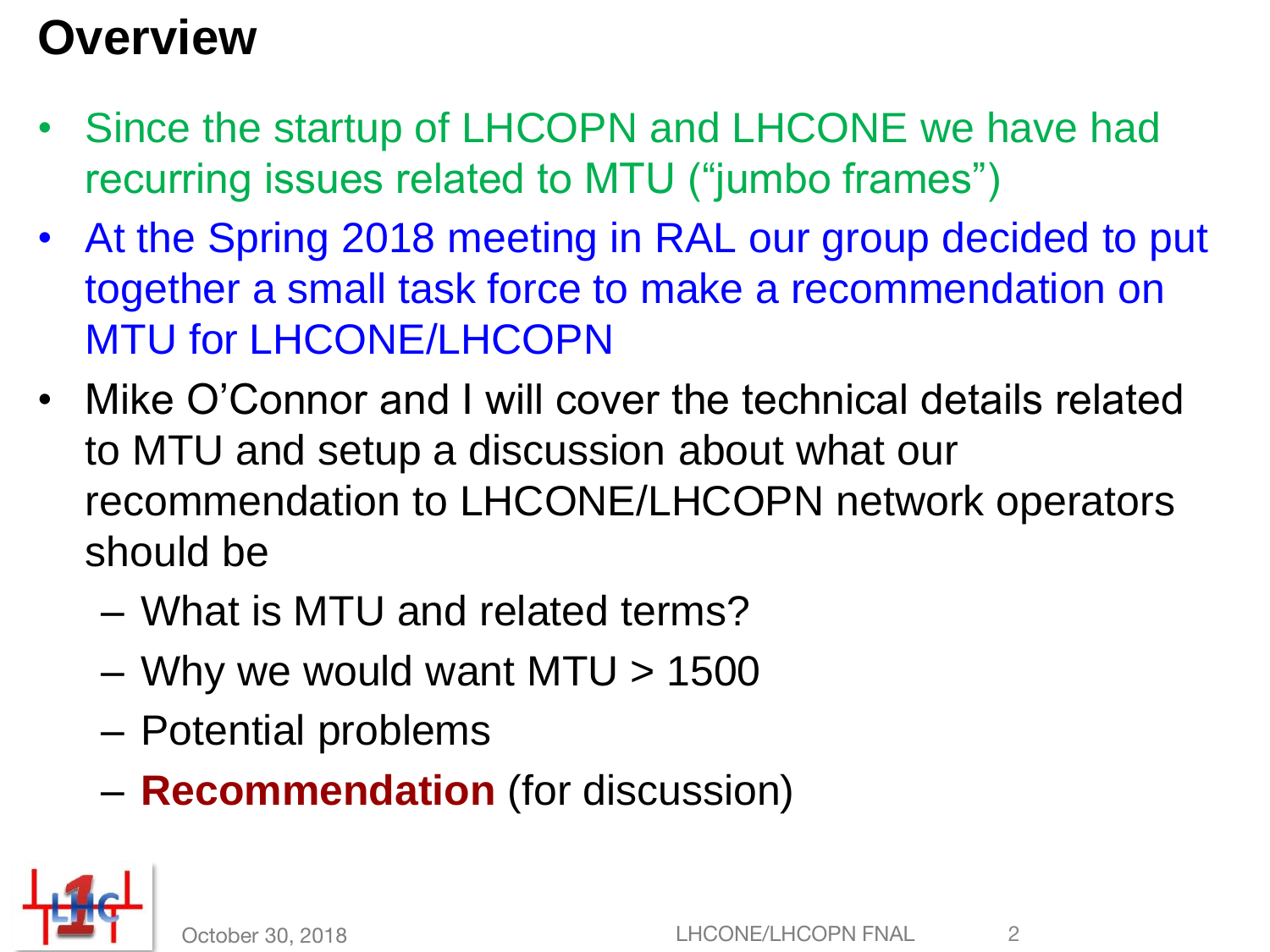#### **Overview**

- Since the startup of LHCOPN and LHCONE we have had recurring issues related to MTU ("jumbo frames")
- At the Spring 2018 meeting in RAL our group decided to put together a small task force to make a recommendation on MTU for LHCONE/LHCOPN
- Mike O'Connor and I will cover the technical details related to MTU and setup a discussion about what our recommendation to LHCONE/LHCOPN network operators should be
	- What is MTU and related terms?
	- Why we would want  $MTU > 1500$
	- Potential problems
	- **Recommendation** (for discussion)

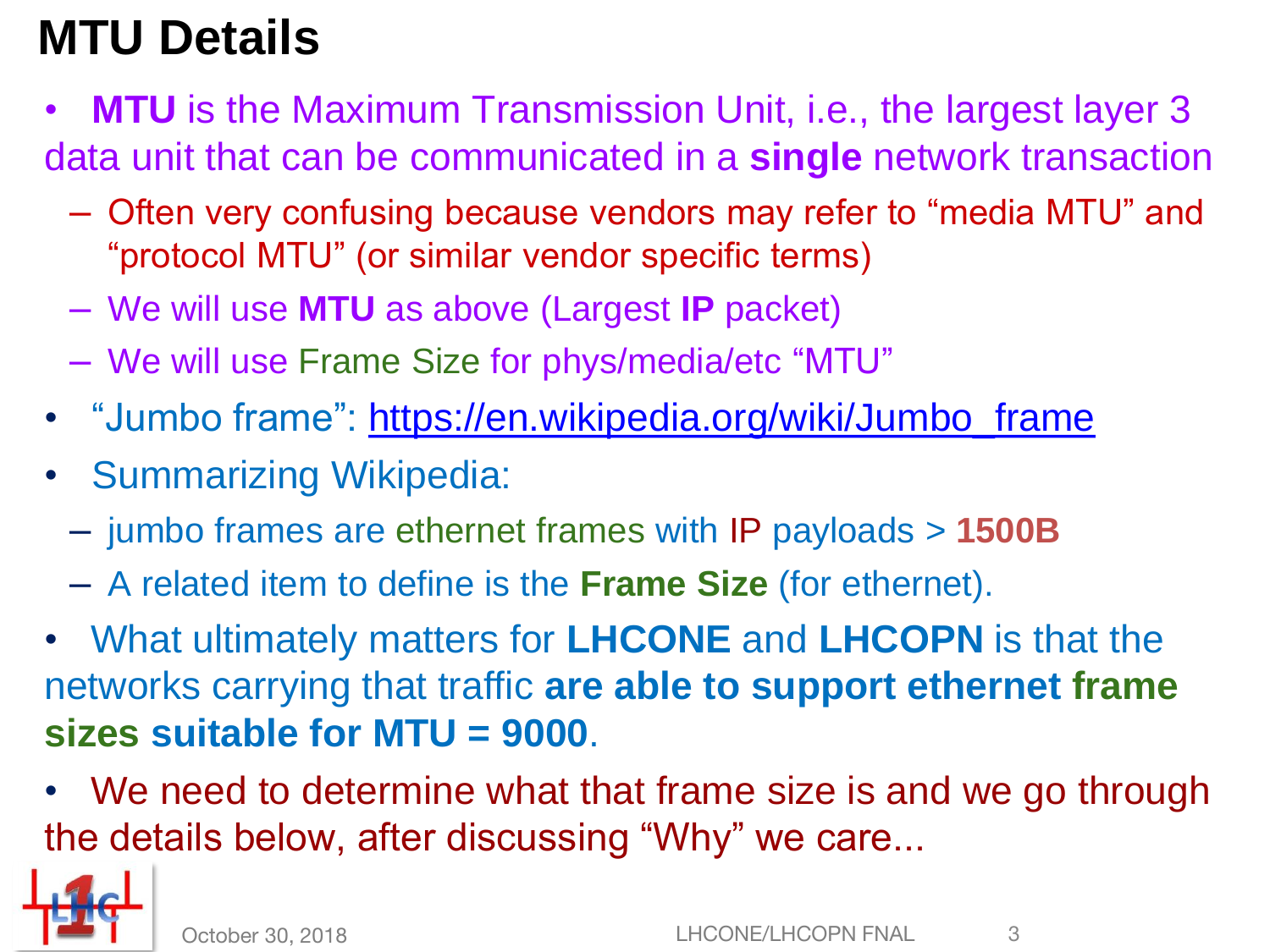### **MTU Details**

- **MTU** is the Maximum Transmission Unit, i.e., the largest layer 3 data unit that can be communicated in a **single** network transaction
	- Often very confusing because vendors may refer to "media MTU" and "protocol MTU" (or similar vendor specific terms)
	- We will use **MTU** as above (Largest **IP** packet)
	- We will use Frame Size for phys/media/etc "MTU"
- "Jumbo frame": [https://en.wikipedia.org/wiki/Jumbo\\_frame](https://en.wikipedia.org/wiki/Jumbo_frame)
- Summarizing Wikipedia:
	- jumbo frames are ethernet frames with IP payloads > **1500B**
	- A related item to define is the **Frame Size** (for ethernet).
- What ultimately matters for **LHCONE** and **LHCOPN** is that the networks carrying that traffic **are able to support ethernet frame sizes suitable for MTU = 9000**.
- We need to determine what that frame size is and we go through the details below, after discussing "Why" we care...

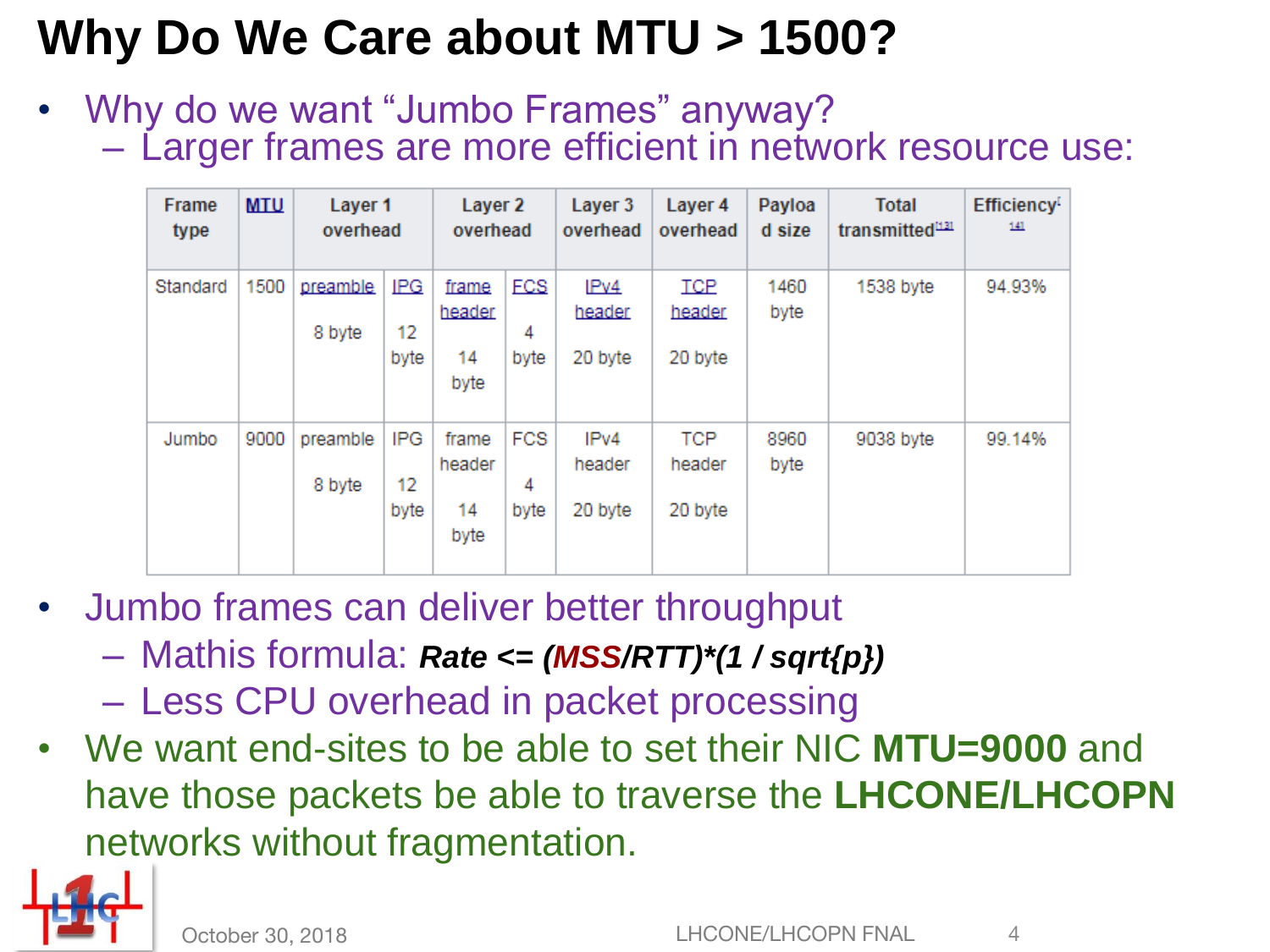### **Why Do We Care about MTU > 1500?**

• Why do we want "Jumbo Frames" anyway? – Larger frames are more efficient in network resource use:

| Frame<br>type | <b>MTU</b> | Layer 1<br>overhead |                          | Layer 2<br>overhead           |                         | Layer 3<br>overhead       | Layer 4<br>overhead             | Payloa<br>d size | <b>Total</b><br>transmitted <sup>1131</sup> | <b>Efficiency</b> <sup>[</sup><br>141 |
|---------------|------------|---------------------|--------------------------|-------------------------------|-------------------------|---------------------------|---------------------------------|------------------|---------------------------------------------|---------------------------------------|
| Standard      | 1500       | preamble<br>8 byte  | <b>IPG</b><br>12<br>byte | frame<br>header<br>14<br>byte | <b>FCS</b><br>4<br>byte | IPv4<br>header<br>20 byte | <b>TCP</b><br>header<br>20 byte | 1460<br>byte     | 1538 byte                                   | 94.93%                                |
| Jumbo         | 9000       | preamble<br>8 byte  | <b>IPG</b><br>12<br>byte | frame<br>header<br>14<br>byte | <b>FCS</b><br>4<br>byte | IPv4<br>header<br>20 byte | TCP<br>header<br>20 byte        | 8960<br>byte     | 9038 byte                                   | 99.14%                                |

- Jumbo frames can deliver better throughput
	- Mathis formula: *Rate <= (MSS/RTT)\*(1 / sqrt{p})*
	- Less CPU overhead in packet processing
- We want end-sites to be able to set their NIC **MTU=9000** and have those packets be able to traverse the **LHCONE/LHCOPN**  networks without fragmentation.

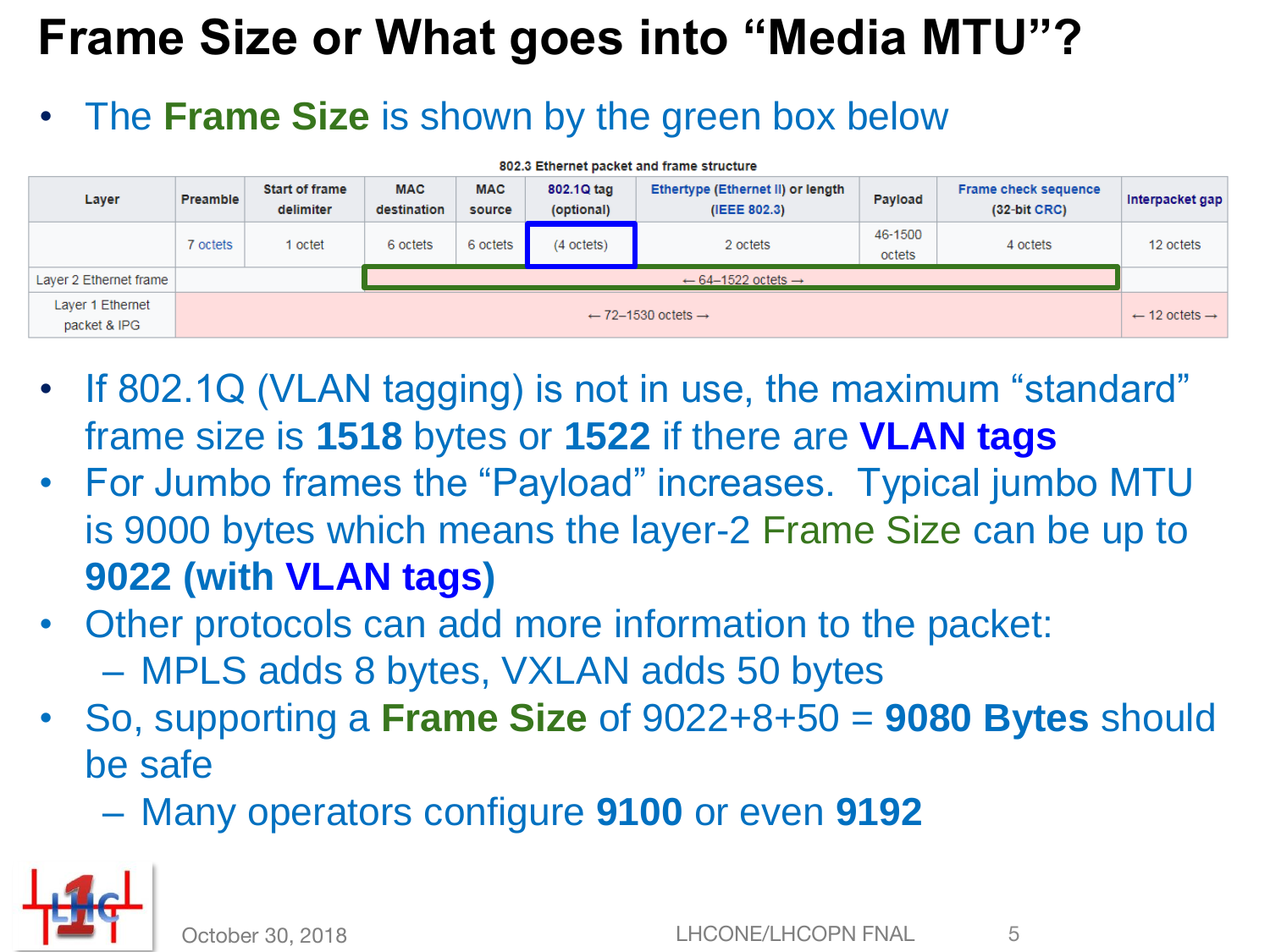### **Frame Size or What goes into "Media MTU"?**

#### • The **Frame Size** is shown by the green box below

| 802.3 Ethernet packet and frame structure |                                           |                                    |                           |                      |                          |                                                   |                   |                                               |                 |  |
|-------------------------------------------|-------------------------------------------|------------------------------------|---------------------------|----------------------|--------------------------|---------------------------------------------------|-------------------|-----------------------------------------------|-----------------|--|
| Layer                                     | Preamble                                  | <b>Start of frame</b><br>delimiter | <b>MAC</b><br>destination | <b>MAC</b><br>source | 802.1Q tag<br>(optional) | Ethertype (Ethernet II) or length<br>(IEEE 802.3) | Payload           | <b>Frame check sequence</b><br>$(32-bit CRC)$ | Interpacket gap |  |
|                                           | 7 octets                                  | 1 octet                            | 6 octets                  | 6 octets             | $(4$ octets)             | 2 octets                                          | 46-1500<br>octets | 4 octets                                      | 12 octets       |  |
| Laver 2 Ethernet frame                    | $\leftarrow$ 64-1522 octets $\rightarrow$ |                                    |                           |                      |                          |                                                   |                   |                                               |                 |  |
| Layer 1 Ethernet<br>packet & IPG          | $\leftarrow$ 72-1530 octets $\rightarrow$ |                                    |                           |                      |                          |                                                   |                   |                                               |                 |  |

- If 802.1Q (VLAN tagging) is not in use, the maximum "standard" frame size is **1518** bytes or **1522** if there are **VLAN tags**
- For Jumbo frames the "Payload" increases. Typical jumbo MTU is 9000 bytes which means the layer-2 Frame Size can be up to **9022 (with VLAN tags)**
- Other protocols can add more information to the packet: – MPLS adds 8 bytes, VXLAN adds 50 bytes
- So, supporting a **Frame Size** of 9022+8+50 = **9080 Bytes** should be safe
	- Many operators configure **9100** or even **9192**

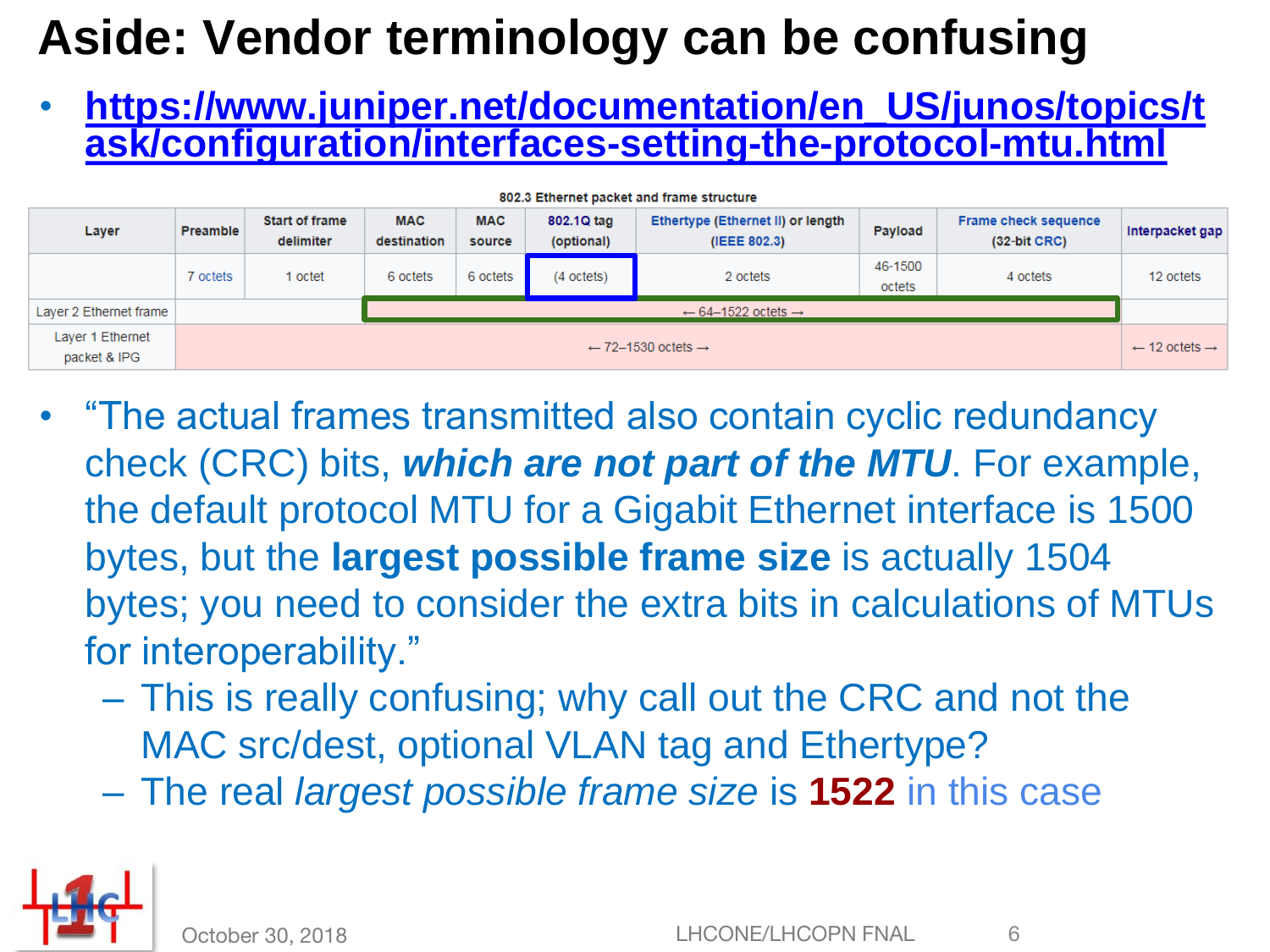#### **Aside: Vendor terminology can be confusing**

• **https://www.juniper.net/documentation/en\_US/junos/topics/t [ask/configuration/interfaces-setting-the-protocol-mtu.html](https://www.juniper.net/documentation/en_US/junos/topics/task/configuration/interfaces-setting-the-protocol-mtu.html)**

| 802.3 Ethernet packet and frame structure |                                           |                                    |                           |                      |                          |                                                   |                   |                                               |                 |  |
|-------------------------------------------|-------------------------------------------|------------------------------------|---------------------------|----------------------|--------------------------|---------------------------------------------------|-------------------|-----------------------------------------------|-----------------|--|
| Layer                                     | <b>Preamble</b>                           | <b>Start of frame</b><br>delimiter | <b>MAC</b><br>destination | <b>MAC</b><br>source | 802.1Q tag<br>(optional) | Ethertype (Ethernet II) or length<br>(IEEE 802.3) | Payload           | <b>Frame check sequence</b><br>$(32-bit CRC)$ | Interpacket gap |  |
|                                           | 7 octets                                  | octet                              | 6 octets                  | 6 octets             | (4 octets)               | 2 octets                                          | 46-1500<br>octets | 4 octets                                      | 12 octets       |  |
| Layer 2 Ethernet frame                    | $\leftarrow$ 64-1522 octets $\rightarrow$ |                                    |                           |                      |                          |                                                   |                   |                                               |                 |  |
| Layer 1 Ethernet<br>packet & IPG          | $\leftarrow$ 72-1530 octets $\rightarrow$ |                                    |                           |                      |                          |                                                   |                   |                                               |                 |  |

- "The actual frames transmitted also contain cyclic redundancy check (CRC) bits, *which are not part of the MTU*. For example, the default protocol MTU for a Gigabit Ethernet interface is 1500 bytes, but the **largest possible frame size** is actually 1504 bytes; you need to consider the extra bits in calculations of MTUs for interoperability."
	- This is really confusing; why call out the CRC and not the MAC src/dest, optional VLAN tag and Ethertype?
	- The real *largest possible frame size* is **1522** in this case

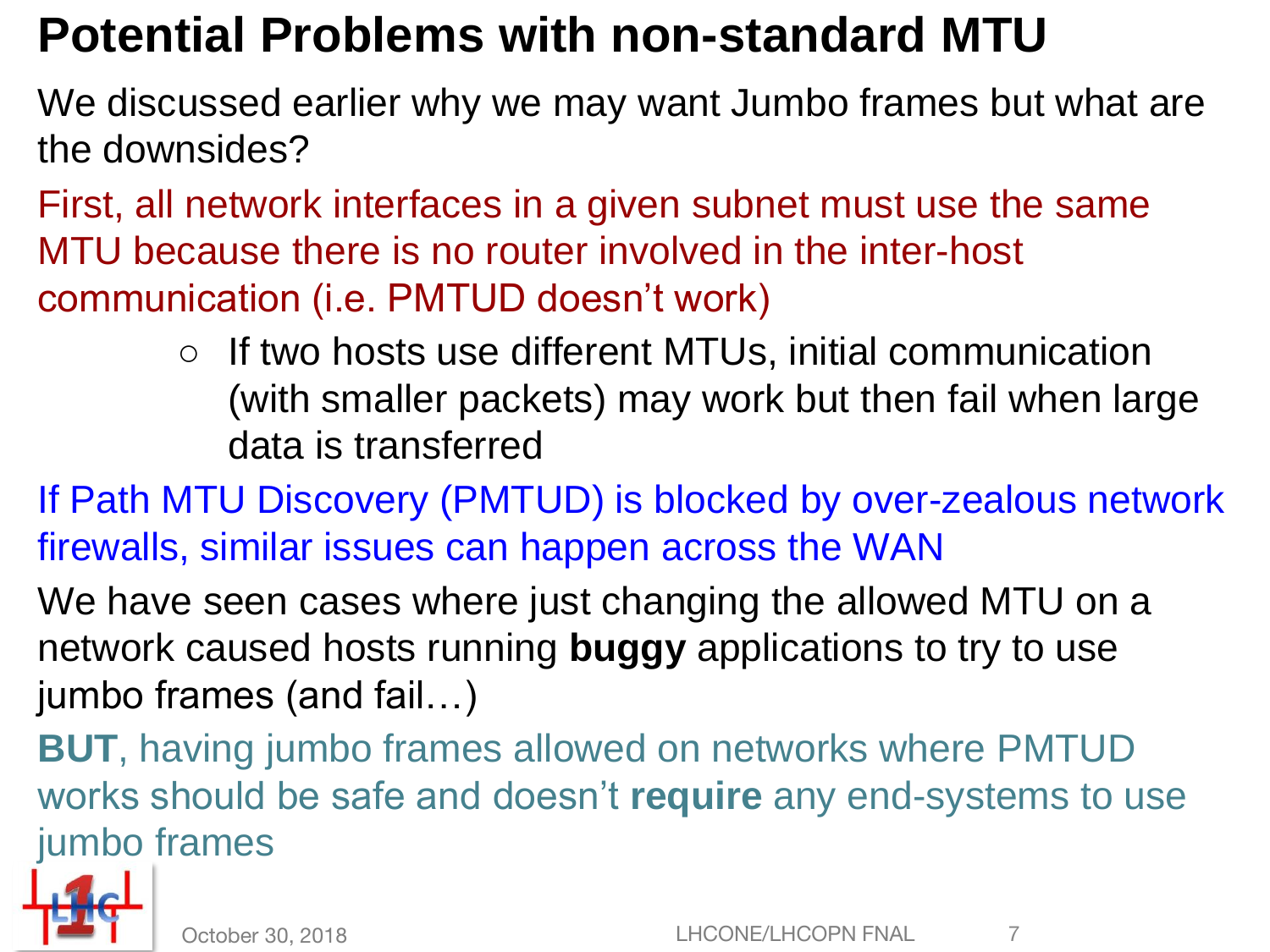#### **Potential Problems with non-standard MTU**

We discussed earlier why we may want Jumbo frames but what are the downsides?

First, all network interfaces in a given subnet must use the same MTU because there is no router involved in the inter-host communication (i.e. PMTUD doesn't work)

> ○ If two hosts use different MTUs, initial communication (with smaller packets) may work but then fail when large data is transferred

If Path MTU Discovery (PMTUD) is blocked by over-zealous network firewalls, similar issues can happen across the WAN

We have seen cases where just changing the allowed MTU on a network caused hosts running **buggy** applications to try to use jumbo frames (and fail…)

**BUT**, having jumbo frames allowed on networks where PMTUD works should be safe and doesn't **require** any end-systems to use jumbo frames

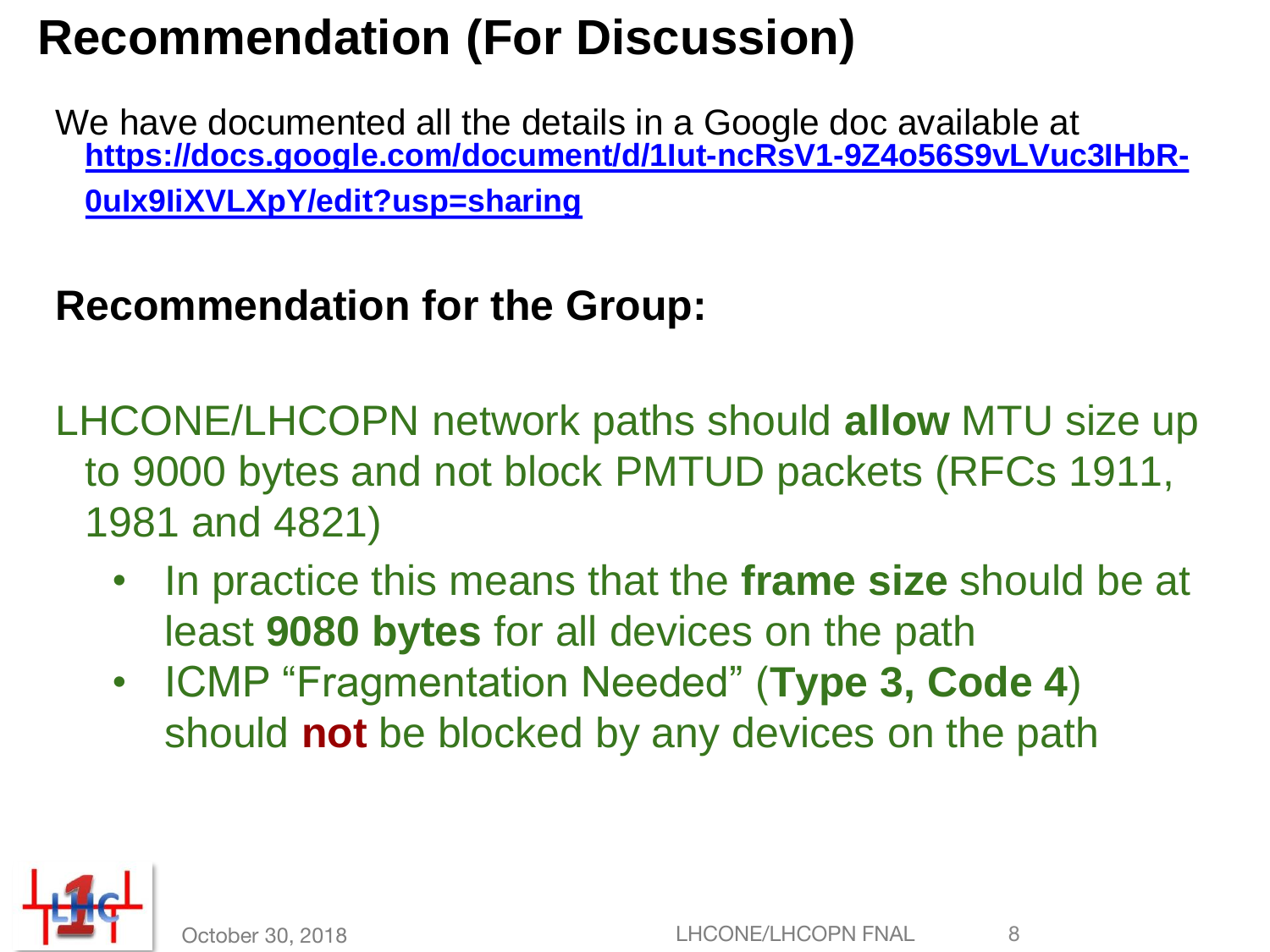#### **Recommendation (For Discussion)**

We have documented all the details in a Google doc available at **[https://docs.google.com/document/d/1Iut-ncRsV1-9Z4o56S9vLVuc3IHbR-](https://docs.google.com/document/d/1Iut-ncRsV1-9Z4o56S9vLVuc3IHbR-0uIx9IiXVLXpY/edit?usp=sharing)0uIx9IiXVLXpY/edit?usp=sharing**

#### **Recommendation for the Group:**

LHCONE/LHCOPN network paths should **allow** MTU size up to 9000 bytes and not block PMTUD packets (RFCs 1911, 1981 and 4821)

- In practice this means that the **frame size** should be at least **9080 bytes** for all devices on the path
- ICMP "Fragmentation Needed" (**Type 3, Code 4**) should **not** be blocked by any devices on the path